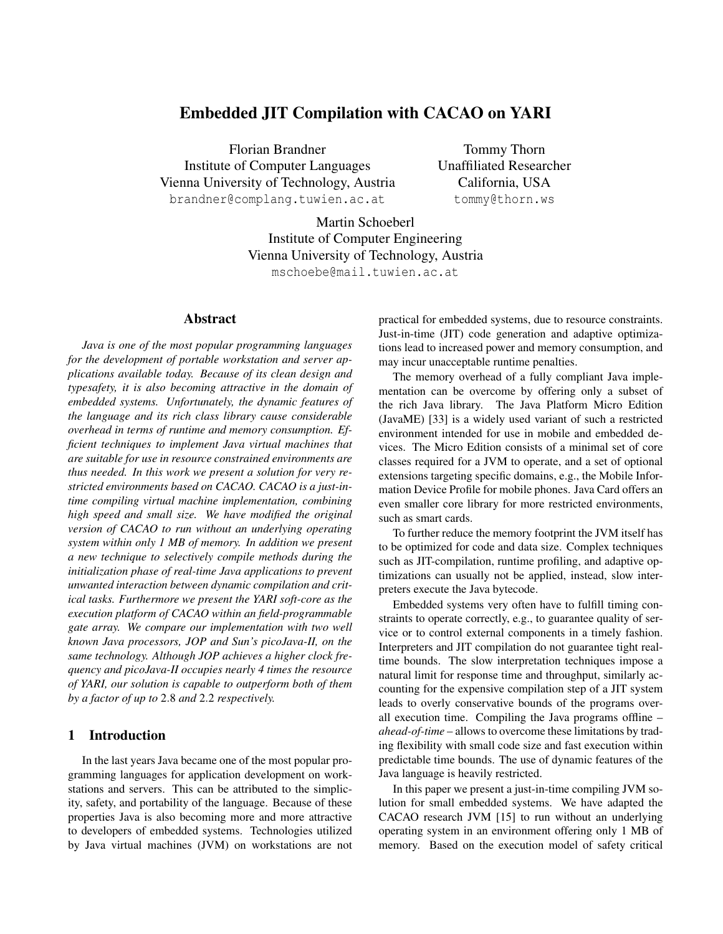# Embedded JIT Compilation with CACAO on YARI

Florian Brandner Institute of Computer Languages Vienna University of Technology, Austria brandner@complang.tuwien.ac.at

Tommy Thorn Unaffiliated Researcher California, USA tommy@thorn.ws

Martin Schoeberl Institute of Computer Engineering Vienna University of Technology, Austria mschoebe@mail.tuwien.ac.at

## Abstract

*Java is one of the most popular programming languages for the development of portable workstation and server applications available today. Because of its clean design and typesafety, it is also becoming attractive in the domain of embedded systems. Unfortunately, the dynamic features of the language and its rich class library cause considerable overhead in terms of runtime and memory consumption. Efficient techniques to implement Java virtual machines that are suitable for use in resource constrained environments are thus needed. In this work we present a solution for very restricted environments based on CACAO. CACAO is a just-intime compiling virtual machine implementation, combining high speed and small size. We have modified the original version of CACAO to run without an underlying operating system within only 1 MB of memory. In addition we present a new technique to selectively compile methods during the initialization phase of real-time Java applications to prevent unwanted interaction between dynamic compilation and critical tasks. Furthermore we present the YARI soft-core as the execution platform of CACAO within an field-programmable gate array. We compare our implementation with two well known Java processors, JOP and Sun's picoJava-II, on the same technology. Although JOP achieves a higher clock frequency and picoJava-II occupies nearly 4 times the resource of YARI, our solution is capable to outperform both of them by a factor of up to* 2.8 *and* 2.2 *respectively.*

### 1 Introduction

In the last years Java became one of the most popular programming languages for application development on workstations and servers. This can be attributed to the simplicity, safety, and portability of the language. Because of these properties Java is also becoming more and more attractive to developers of embedded systems. Technologies utilized by Java virtual machines (JVM) on workstations are not practical for embedded systems, due to resource constraints. Just-in-time (JIT) code generation and adaptive optimizations lead to increased power and memory consumption, and may incur unacceptable runtime penalties.

The memory overhead of a fully compliant Java implementation can be overcome by offering only a subset of the rich Java library. The Java Platform Micro Edition (JavaME) [33] is a widely used variant of such a restricted environment intended for use in mobile and embedded devices. The Micro Edition consists of a minimal set of core classes required for a JVM to operate, and a set of optional extensions targeting specific domains, e.g., the Mobile Information Device Profile for mobile phones. Java Card offers an even smaller core library for more restricted environments, such as smart cards.

To further reduce the memory footprint the JVM itself has to be optimized for code and data size. Complex techniques such as JIT-compilation, runtime profiling, and adaptive optimizations can usually not be applied, instead, slow interpreters execute the Java bytecode.

Embedded systems very often have to fulfill timing constraints to operate correctly, e.g., to guarantee quality of service or to control external components in a timely fashion. Interpreters and JIT compilation do not guarantee tight realtime bounds. The slow interpretation techniques impose a natural limit for response time and throughput, similarly accounting for the expensive compilation step of a JIT system leads to overly conservative bounds of the programs overall execution time. Compiling the Java programs offline – *ahead-of-time* – allows to overcome these limitations by trading flexibility with small code size and fast execution within predictable time bounds. The use of dynamic features of the Java language is heavily restricted.

In this paper we present a just-in-time compiling JVM solution for small embedded systems. We have adapted the CACAO research JVM [15] to run without an underlying operating system in an environment offering only 1 MB of memory. Based on the execution model of safety critical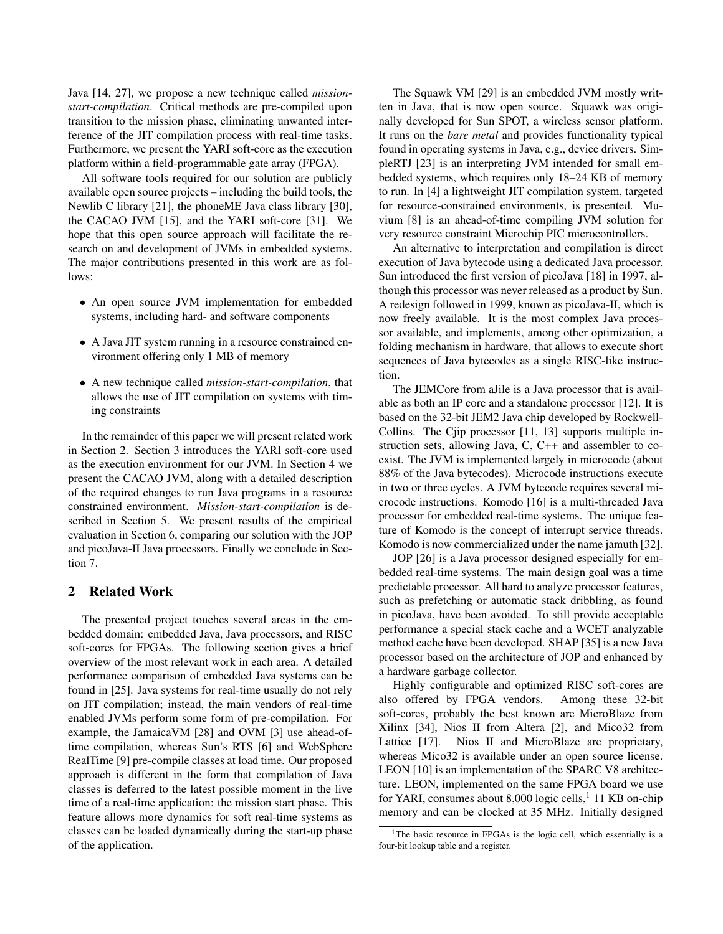Java [14, 27], we propose a new technique called *missionstart-compilation*. Critical methods are pre-compiled upon transition to the mission phase, eliminating unwanted interference of the JIT compilation process with real-time tasks. Furthermore, we present the YARI soft-core as the execution platform within a field-programmable gate array (FPGA).

All software tools required for our solution are publicly available open source projects – including the build tools, the Newlib C library [21], the phoneME Java class library [30], the CACAO JVM [15], and the YARI soft-core [31]. We hope that this open source approach will facilitate the research on and development of JVMs in embedded systems. The major contributions presented in this work are as follows:

- An open source JVM implementation for embedded systems, including hard- and software components
- A Java JIT system running in a resource constrained environment offering only 1 MB of memory
- A new technique called *mission-start-compilation*, that allows the use of JIT compilation on systems with timing constraints

In the remainder of this paper we will present related work in Section 2. Section 3 introduces the YARI soft-core used as the execution environment for our JVM. In Section 4 we present the CACAO JVM, along with a detailed description of the required changes to run Java programs in a resource constrained environment. *Mission-start-compilation* is described in Section 5. We present results of the empirical evaluation in Section 6, comparing our solution with the JOP and picoJava-II Java processors. Finally we conclude in Section 7.

## 2 Related Work

The presented project touches several areas in the embedded domain: embedded Java, Java processors, and RISC soft-cores for FPGAs. The following section gives a brief overview of the most relevant work in each area. A detailed performance comparison of embedded Java systems can be found in [25]. Java systems for real-time usually do not rely on JIT compilation; instead, the main vendors of real-time enabled JVMs perform some form of pre-compilation. For example, the JamaicaVM [28] and OVM [3] use ahead-oftime compilation, whereas Sun's RTS [6] and WebSphere RealTime [9] pre-compile classes at load time. Our proposed approach is different in the form that compilation of Java classes is deferred to the latest possible moment in the live time of a real-time application: the mission start phase. This feature allows more dynamics for soft real-time systems as classes can be loaded dynamically during the start-up phase of the application.

The Squawk VM [29] is an embedded JVM mostly written in Java, that is now open source. Squawk was originally developed for Sun SPOT, a wireless sensor platform. It runs on the *bare metal* and provides functionality typical found in operating systems in Java, e.g., device drivers. SimpleRTJ [23] is an interpreting JVM intended for small embedded systems, which requires only 18–24 KB of memory to run. In [4] a lightweight JIT compilation system, targeted for resource-constrained environments, is presented. Muvium [8] is an ahead-of-time compiling JVM solution for very resource constraint Microchip PIC microcontrollers.

An alternative to interpretation and compilation is direct execution of Java bytecode using a dedicated Java processor. Sun introduced the first version of picoJava [18] in 1997, although this processor was never released as a product by Sun. A redesign followed in 1999, known as picoJava-II, which is now freely available. It is the most complex Java processor available, and implements, among other optimization, a folding mechanism in hardware, that allows to execute short sequences of Java bytecodes as a single RISC-like instruction.

The JEMCore from aJile is a Java processor that is available as both an IP core and a standalone processor [12]. It is based on the 32-bit JEM2 Java chip developed by Rockwell-Collins. The Cjip processor [11, 13] supports multiple instruction sets, allowing Java, C, C++ and assembler to coexist. The JVM is implemented largely in microcode (about 88% of the Java bytecodes). Microcode instructions execute in two or three cycles. A JVM bytecode requires several microcode instructions. Komodo [16] is a multi-threaded Java processor for embedded real-time systems. The unique feature of Komodo is the concept of interrupt service threads. Komodo is now commercialized under the name jamuth [32].

JOP [26] is a Java processor designed especially for embedded real-time systems. The main design goal was a time predictable processor. All hard to analyze processor features, such as prefetching or automatic stack dribbling, as found in picoJava, have been avoided. To still provide acceptable performance a special stack cache and a WCET analyzable method cache have been developed. SHAP [35] is a new Java processor based on the architecture of JOP and enhanced by a hardware garbage collector.

Highly configurable and optimized RISC soft-cores are also offered by FPGA vendors. Among these 32-bit soft-cores, probably the best known are MicroBlaze from Xilinx [34], Nios II from Altera [2], and Mico32 from Lattice [17]. Nios II and MicroBlaze are proprietary, whereas Mico32 is available under an open source license. LEON [10] is an implementation of the SPARC V8 architecture. LEON, implemented on the same FPGA board we use for YARI, consumes about 8,000 logic cells,<sup>1</sup> 11 KB on-chip memory and can be clocked at 35 MHz. Initially designed

<sup>&</sup>lt;sup>1</sup>The basic resource in FPGAs is the logic cell, which essentially is a four-bit lookup table and a register.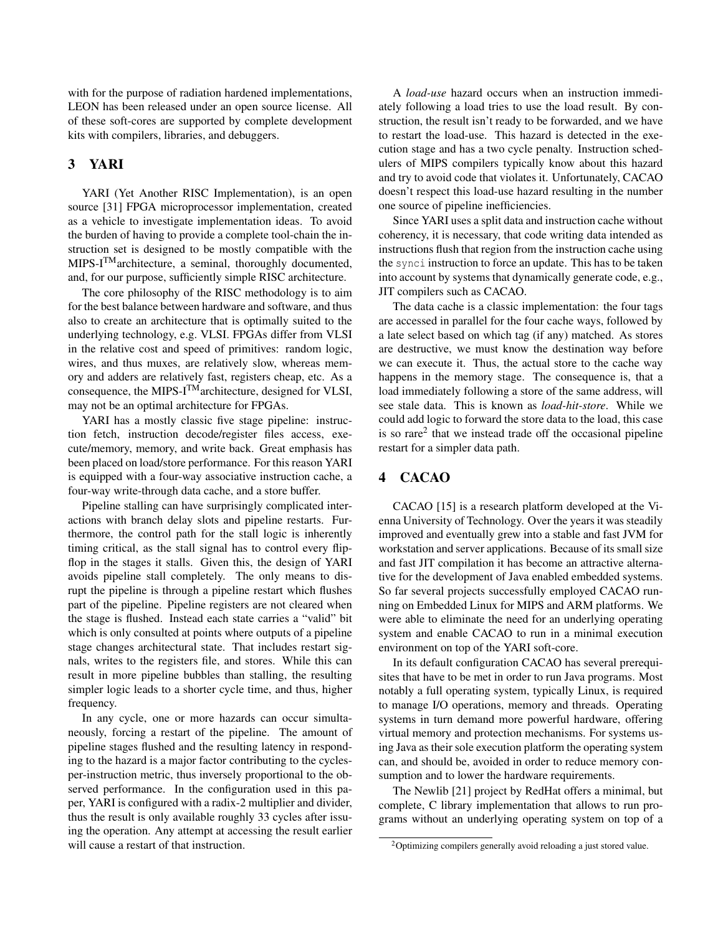with for the purpose of radiation hardened implementations, LEON has been released under an open source license. All of these soft-cores are supported by complete development kits with compilers, libraries, and debuggers.

## 3 YARI

YARI (Yet Another RISC Implementation), is an open source [31] FPGA microprocessor implementation, created as a vehicle to investigate implementation ideas. To avoid the burden of having to provide a complete tool-chain the instruction set is designed to be mostly compatible with the MIPS-I<sup>TM</sup> architecture, a seminal, thoroughly documented, and, for our purpose, sufficiently simple RISC architecture.

The core philosophy of the RISC methodology is to aim for the best balance between hardware and software, and thus also to create an architecture that is optimally suited to the underlying technology, e.g. VLSI. FPGAs differ from VLSI in the relative cost and speed of primitives: random logic, wires, and thus muxes, are relatively slow, whereas memory and adders are relatively fast, registers cheap, etc. As a consequence, the MIPS-I<sup>TM</sup> architecture, designed for VLSI, may not be an optimal architecture for FPGAs.

YARI has a mostly classic five stage pipeline: instruction fetch, instruction decode/register files access, execute/memory, memory, and write back. Great emphasis has been placed on load/store performance. For this reason YARI is equipped with a four-way associative instruction cache, a four-way write-through data cache, and a store buffer.

Pipeline stalling can have surprisingly complicated interactions with branch delay slots and pipeline restarts. Furthermore, the control path for the stall logic is inherently timing critical, as the stall signal has to control every flipflop in the stages it stalls. Given this, the design of YARI avoids pipeline stall completely. The only means to disrupt the pipeline is through a pipeline restart which flushes part of the pipeline. Pipeline registers are not cleared when the stage is flushed. Instead each state carries a "valid" bit which is only consulted at points where outputs of a pipeline stage changes architectural state. That includes restart signals, writes to the registers file, and stores. While this can result in more pipeline bubbles than stalling, the resulting simpler logic leads to a shorter cycle time, and thus, higher frequency.

In any cycle, one or more hazards can occur simultaneously, forcing a restart of the pipeline. The amount of pipeline stages flushed and the resulting latency in responding to the hazard is a major factor contributing to the cyclesper-instruction metric, thus inversely proportional to the observed performance. In the configuration used in this paper, YARI is configured with a radix-2 multiplier and divider, thus the result is only available roughly 33 cycles after issuing the operation. Any attempt at accessing the result earlier will cause a restart of that instruction.

A *load-use* hazard occurs when an instruction immediately following a load tries to use the load result. By construction, the result isn't ready to be forwarded, and we have to restart the load-use. This hazard is detected in the execution stage and has a two cycle penalty. Instruction schedulers of MIPS compilers typically know about this hazard and try to avoid code that violates it. Unfortunately, CACAO doesn't respect this load-use hazard resulting in the number one source of pipeline inefficiencies.

Since YARI uses a split data and instruction cache without coherency, it is necessary, that code writing data intended as instructions flush that region from the instruction cache using the synci instruction to force an update. This has to be taken into account by systems that dynamically generate code, e.g., JIT compilers such as CACAO.

The data cache is a classic implementation: the four tags are accessed in parallel for the four cache ways, followed by a late select based on which tag (if any) matched. As stores are destructive, we must know the destination way before we can execute it. Thus, the actual store to the cache way happens in the memory stage. The consequence is, that a load immediately following a store of the same address, will see stale data. This is known as *load-hit-store*. While we could add logic to forward the store data to the load, this case is so rare<sup>2</sup> that we instead trade off the occasional pipeline restart for a simpler data path.

## 4 CACAO

CACAO [15] is a research platform developed at the Vienna University of Technology. Over the years it was steadily improved and eventually grew into a stable and fast JVM for workstation and server applications. Because of its small size and fast JIT compilation it has become an attractive alternative for the development of Java enabled embedded systems. So far several projects successfully employed CACAO running on Embedded Linux for MIPS and ARM platforms. We were able to eliminate the need for an underlying operating system and enable CACAO to run in a minimal execution environment on top of the YARI soft-core.

In its default configuration CACAO has several prerequisites that have to be met in order to run Java programs. Most notably a full operating system, typically Linux, is required to manage I/O operations, memory and threads. Operating systems in turn demand more powerful hardware, offering virtual memory and protection mechanisms. For systems using Java as their sole execution platform the operating system can, and should be, avoided in order to reduce memory consumption and to lower the hardware requirements.

The Newlib [21] project by RedHat offers a minimal, but complete, C library implementation that allows to run programs without an underlying operating system on top of a

<sup>&</sup>lt;sup>2</sup>Optimizing compilers generally avoid reloading a just stored value.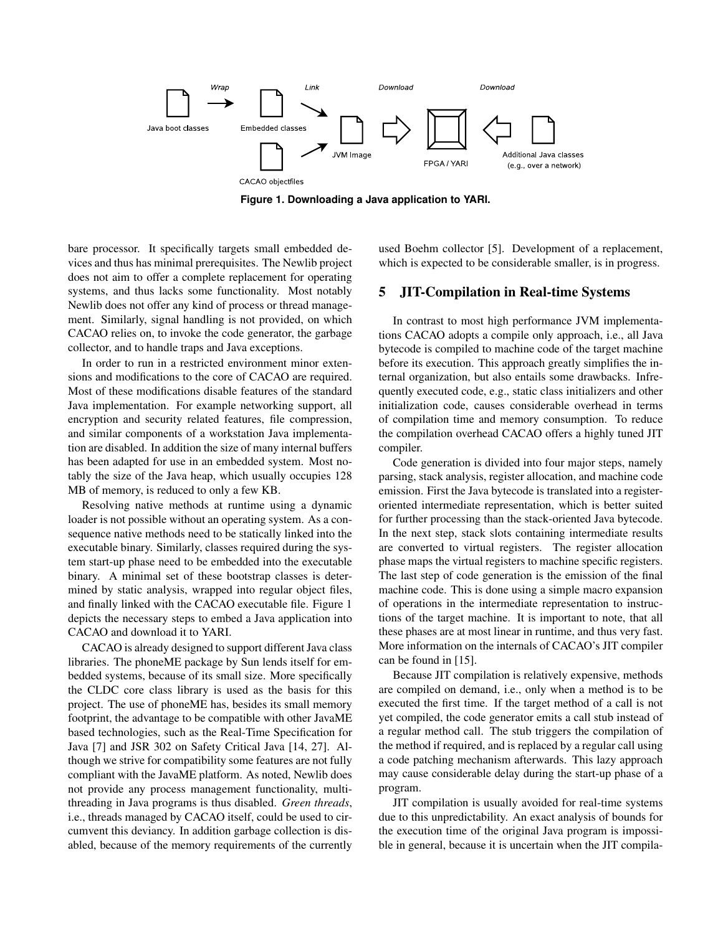

**Figure 1. Downloading a Java application to YARI.**

bare processor. It specifically targets small embedded devices and thus has minimal prerequisites. The Newlib project does not aim to offer a complete replacement for operating systems, and thus lacks some functionality. Most notably Newlib does not offer any kind of process or thread management. Similarly, signal handling is not provided, on which CACAO relies on, to invoke the code generator, the garbage collector, and to handle traps and Java exceptions.

In order to run in a restricted environment minor extensions and modifications to the core of CACAO are required. Most of these modifications disable features of the standard Java implementation. For example networking support, all encryption and security related features, file compression, and similar components of a workstation Java implementation are disabled. In addition the size of many internal buffers has been adapted for use in an embedded system. Most notably the size of the Java heap, which usually occupies 128 MB of memory, is reduced to only a few KB.

Resolving native methods at runtime using a dynamic loader is not possible without an operating system. As a consequence native methods need to be statically linked into the executable binary. Similarly, classes required during the system start-up phase need to be embedded into the executable binary. A minimal set of these bootstrap classes is determined by static analysis, wrapped into regular object files, and finally linked with the CACAO executable file. Figure 1 depicts the necessary steps to embed a Java application into CACAO and download it to YARI.

CACAO is already designed to support different Java class libraries. The phoneME package by Sun lends itself for embedded systems, because of its small size. More specifically the CLDC core class library is used as the basis for this project. The use of phoneME has, besides its small memory footprint, the advantage to be compatible with other JavaME based technologies, such as the Real-Time Specification for Java [7] and JSR 302 on Safety Critical Java [14, 27]. Although we strive for compatibility some features are not fully compliant with the JavaME platform. As noted, Newlib does not provide any process management functionality, multithreading in Java programs is thus disabled. *Green threads*, i.e., threads managed by CACAO itself, could be used to circumvent this deviancy. In addition garbage collection is disabled, because of the memory requirements of the currently used Boehm collector [5]. Development of a replacement, which is expected to be considerable smaller, is in progress.

## 5 JIT-Compilation in Real-time Systems

In contrast to most high performance JVM implementations CACAO adopts a compile only approach, i.e., all Java bytecode is compiled to machine code of the target machine before its execution. This approach greatly simplifies the internal organization, but also entails some drawbacks. Infrequently executed code, e.g., static class initializers and other initialization code, causes considerable overhead in terms of compilation time and memory consumption. To reduce the compilation overhead CACAO offers a highly tuned JIT compiler.

Code generation is divided into four major steps, namely parsing, stack analysis, register allocation, and machine code emission. First the Java bytecode is translated into a registeroriented intermediate representation, which is better suited for further processing than the stack-oriented Java bytecode. In the next step, stack slots containing intermediate results are converted to virtual registers. The register allocation phase maps the virtual registers to machine specific registers. The last step of code generation is the emission of the final machine code. This is done using a simple macro expansion of operations in the intermediate representation to instructions of the target machine. It is important to note, that all these phases are at most linear in runtime, and thus very fast. More information on the internals of CACAO's JIT compiler can be found in [15].

Because JIT compilation is relatively expensive, methods are compiled on demand, i.e., only when a method is to be executed the first time. If the target method of a call is not yet compiled, the code generator emits a call stub instead of a regular method call. The stub triggers the compilation of the method if required, and is replaced by a regular call using a code patching mechanism afterwards. This lazy approach may cause considerable delay during the start-up phase of a program.

JIT compilation is usually avoided for real-time systems due to this unpredictability. An exact analysis of bounds for the execution time of the original Java program is impossible in general, because it is uncertain when the JIT compila-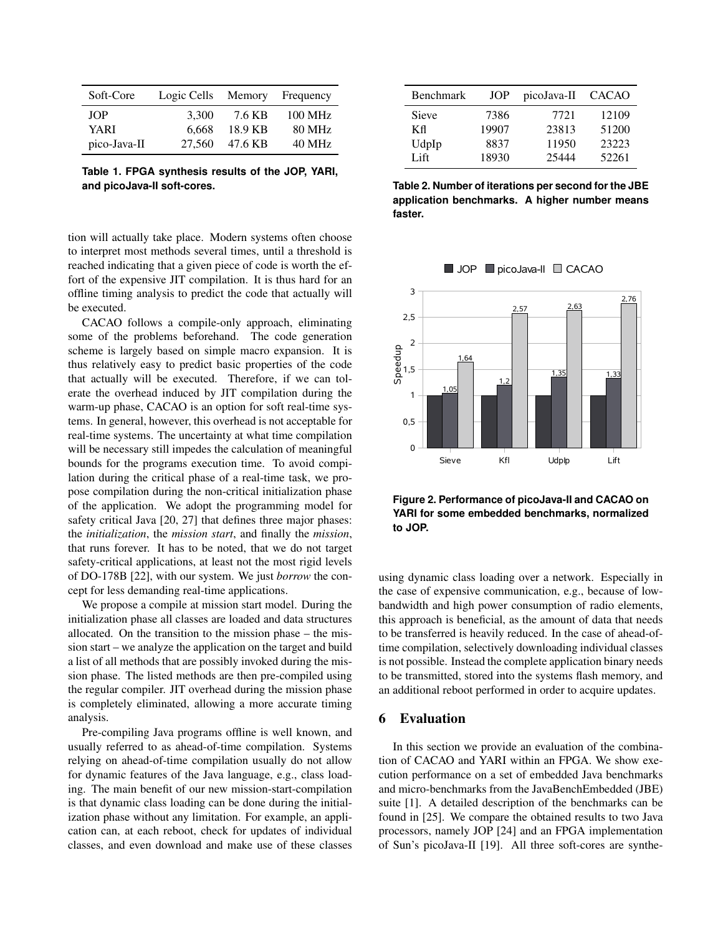| Soft-Core    | Logic Cells | Memory  | Frequency         |
|--------------|-------------|---------|-------------------|
| <b>JOP</b>   | 3.300       | 7.6 KB  | $100 \text{ MHz}$ |
| YARI         | 6.668       | 18.9 KB | <b>80 MHz</b>     |
| pico-Java-II | 27,560      | 47.6 KB | 40 MHz            |

**Table 1. FPGA synthesis results of the JOP, YARI, and picoJava-II soft-cores.**

tion will actually take place. Modern systems often choose to interpret most methods several times, until a threshold is reached indicating that a given piece of code is worth the effort of the expensive JIT compilation. It is thus hard for an offline timing analysis to predict the code that actually will be executed.

CACAO follows a compile-only approach, eliminating some of the problems beforehand. The code generation scheme is largely based on simple macro expansion. It is thus relatively easy to predict basic properties of the code that actually will be executed. Therefore, if we can tolerate the overhead induced by JIT compilation during the warm-up phase, CACAO is an option for soft real-time systems. In general, however, this overhead is not acceptable for real-time systems. The uncertainty at what time compilation will be necessary still impedes the calculation of meaningful bounds for the programs execution time. To avoid compilation during the critical phase of a real-time task, we propose compilation during the non-critical initialization phase of the application. We adopt the programming model for safety critical Java [20, 27] that defines three major phases: the *initialization*, the *mission start*, and finally the *mission*, that runs forever. It has to be noted, that we do not target safety-critical applications, at least not the most rigid levels of DO-178B [22], with our system. We just *borrow* the concept for less demanding real-time applications.

We propose a compile at mission start model. During the initialization phase all classes are loaded and data structures allocated. On the transition to the mission phase – the mission start – we analyze the application on the target and build a list of all methods that are possibly invoked during the mission phase. The listed methods are then pre-compiled using the regular compiler. JIT overhead during the mission phase is completely eliminated, allowing a more accurate timing analysis.

Pre-compiling Java programs offline is well known, and usually referred to as ahead-of-time compilation. Systems relying on ahead-of-time compilation usually do not allow for dynamic features of the Java language, e.g., class loading. The main benefit of our new mission-start-compilation is that dynamic class loading can be done during the initialization phase without any limitation. For example, an application can, at each reboot, check for updates of individual classes, and even download and make use of these classes

| Benchmark | <b>JOP</b> | picoJava-II | <b>CACAO</b> |
|-----------|------------|-------------|--------------|
| Sieve     | 7386       | 7721        | 12109        |
| Кfl       | 19907      | 23813       | 51200        |
| UdpIp     | 8837       | 11950       | 23223        |
| Lift.     | 18930      | 25444       | 52261        |

**Table 2. Number of iterations per second for the JBE application benchmarks. A higher number means faster.**





**Figure 2. Performance of picoJava-II and CACAO on YARI for some embedded benchmarks, normalized to JOP.**

using dynamic class loading over a network. Especially in the case of expensive communication, e.g., because of lowbandwidth and high power consumption of radio elements, this approach is beneficial, as the amount of data that needs to be transferred is heavily reduced. In the case of ahead-oftime compilation, selectively downloading individual classes is not possible. Instead the complete application binary needs to be transmitted, stored into the systems flash memory, and an additional reboot performed in order to acquire updates.

## 6 Evaluation

In this section we provide an evaluation of the combination of CACAO and YARI within an FPGA. We show execution performance on a set of embedded Java benchmarks and micro-benchmarks from the JavaBenchEmbedded (JBE) suite [1]. A detailed description of the benchmarks can be found in [25]. We compare the obtained results to two Java processors, namely JOP [24] and an FPGA implementation of Sun's picoJava-II [19]. All three soft-cores are synthe-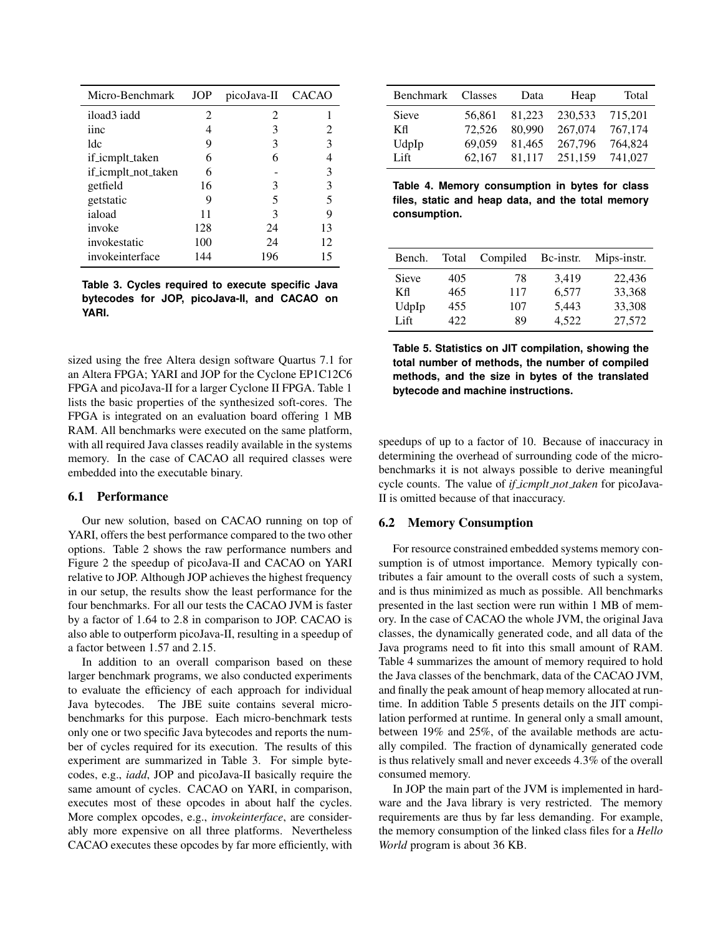| Micro-Benchmark     | <b>JOP</b> | picoJava-II CACAO |    |
|---------------------|------------|-------------------|----|
| iload3 iadd         | 2          | 2                 |    |
| iinc                |            | 3                 | 2  |
| ldc                 | 9          | 3                 |    |
| if_icmplt_taken     | 6          | 6                 |    |
| if_icmplt_not_taken | 6          |                   |    |
| getfield            | 16         | 3                 | 3  |
| getstatic           | 9          | 5                 |    |
| iaload              | 11         | 3                 |    |
| invoke              | 128        | 24                | 13 |
| invokestatic        | 100        | 24                | 12 |
| invokeinterface     | 144        | 196               | 15 |

**Table 3. Cycles required to execute specific Java bytecodes for JOP, picoJava-II, and CACAO on YARI.**

sized using the free Altera design software Quartus 7.1 for an Altera FPGA; YARI and JOP for the Cyclone EP1C12C6 FPGA and picoJava-II for a larger Cyclone II FPGA. Table 1 lists the basic properties of the synthesized soft-cores. The FPGA is integrated on an evaluation board offering 1 MB RAM. All benchmarks were executed on the same platform, with all required Java classes readily available in the systems memory. In the case of CACAO all required classes were embedded into the executable binary.

#### 6.1 Performance

Our new solution, based on CACAO running on top of YARI, offers the best performance compared to the two other options. Table 2 shows the raw performance numbers and Figure 2 the speedup of picoJava-II and CACAO on YARI relative to JOP. Although JOP achieves the highest frequency in our setup, the results show the least performance for the four benchmarks. For all our tests the CACAO JVM is faster by a factor of 1.64 to 2.8 in comparison to JOP. CACAO is also able to outperform picoJava-II, resulting in a speedup of a factor between 1.57 and 2.15.

In addition to an overall comparison based on these larger benchmark programs, we also conducted experiments to evaluate the efficiency of each approach for individual Java bytecodes. The JBE suite contains several microbenchmarks for this purpose. Each micro-benchmark tests only one or two specific Java bytecodes and reports the number of cycles required for its execution. The results of this experiment are summarized in Table 3. For simple bytecodes, e.g., *iadd*, JOP and picoJava-II basically require the same amount of cycles. CACAO on YARI, in comparison, executes most of these opcodes in about half the cycles. More complex opcodes, e.g., *invokeinterface*, are considerably more expensive on all three platforms. Nevertheless CACAO executes these opcodes by far more efficiently, with

| Benchmark    | <b>Classes</b> | Data   | Heap    | Total   |
|--------------|----------------|--------|---------|---------|
| <b>Sieve</b> | 56.861         | 81,223 | 230.533 | 715.201 |
| Кfl          | 72,526         | 80,990 | 267,074 | 767,174 |
| UdpIp        | 69.059         | 81.465 | 267,796 | 764.824 |
| Lift         | 62.167         | 81.117 | 251,159 | 741,027 |

**Table 4. Memory consumption in bytes for class files, static and heap data, and the total memory consumption.**

| Bench. | Total | Compiled | Bc-instr. | Mips-instr. |
|--------|-------|----------|-----------|-------------|
| Sieve  | 405   | 78       | 3.419     | 22,436      |
| Кfl    | 465   | 117      | 6.577     | 33,368      |
| UdpIp  | 455   | 107      | 5,443     | 33,308      |
| Lift   | 422.  | 89       | 4.522     | 27,572      |

**Table 5. Statistics on JIT compilation, showing the total number of methods, the number of compiled methods, and the size in bytes of the translated bytecode and machine instructions.**

speedups of up to a factor of 10. Because of inaccuracy in determining the overhead of surrounding code of the microbenchmarks it is not always possible to derive meaningful cycle counts. The value of *if icmplt not taken* for picoJava-II is omitted because of that inaccuracy.

### 6.2 Memory Consumption

For resource constrained embedded systems memory consumption is of utmost importance. Memory typically contributes a fair amount to the overall costs of such a system, and is thus minimized as much as possible. All benchmarks presented in the last section were run within 1 MB of memory. In the case of CACAO the whole JVM, the original Java classes, the dynamically generated code, and all data of the Java programs need to fit into this small amount of RAM. Table 4 summarizes the amount of memory required to hold the Java classes of the benchmark, data of the CACAO JVM, and finally the peak amount of heap memory allocated at runtime. In addition Table 5 presents details on the JIT compilation performed at runtime. In general only a small amount, between 19% and 25%, of the available methods are actually compiled. The fraction of dynamically generated code is thus relatively small and never exceeds 4.3% of the overall consumed memory.

In JOP the main part of the JVM is implemented in hardware and the Java library is very restricted. The memory requirements are thus by far less demanding. For example, the memory consumption of the linked class files for a *Hello World* program is about 36 KB.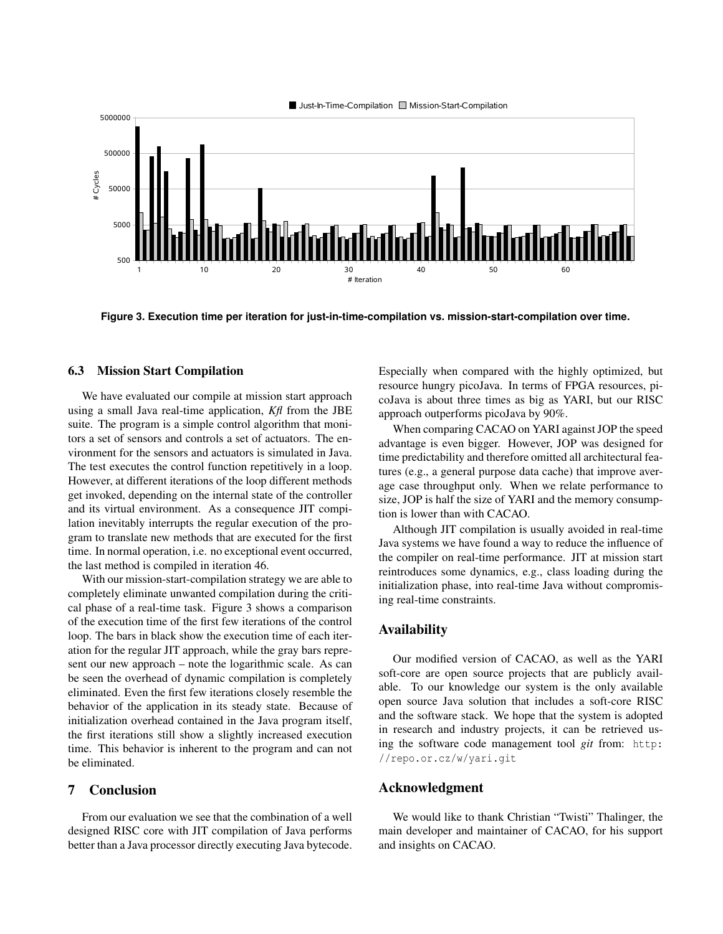

**Figure 3. Execution time per iteration for just-in-time-compilation vs. mission-start-compilation over time.**

### 6.3 Mission Start Compilation

We have evaluated our compile at mission start approach using a small Java real-time application, *Kfl* from the JBE suite. The program is a simple control algorithm that monitors a set of sensors and controls a set of actuators. The environment for the sensors and actuators is simulated in Java. The test executes the control function repetitively in a loop. However, at different iterations of the loop different methods get invoked, depending on the internal state of the controller and its virtual environment. As a consequence JIT compilation inevitably interrupts the regular execution of the program to translate new methods that are executed for the first time. In normal operation, i.e. no exceptional event occurred, the last method is compiled in iteration 46.

With our mission-start-compilation strategy we are able to completely eliminate unwanted compilation during the critical phase of a real-time task. Figure 3 shows a comparison of the execution time of the first few iterations of the control loop. The bars in black show the execution time of each iteration for the regular JIT approach, while the gray bars represent our new approach – note the logarithmic scale. As can be seen the overhead of dynamic compilation is completely eliminated. Even the first few iterations closely resemble the behavior of the application in its steady state. Because of initialization overhead contained in the Java program itself, the first iterations still show a slightly increased execution time. This behavior is inherent to the program and can not be eliminated.

## 7 Conclusion

From our evaluation we see that the combination of a well designed RISC core with JIT compilation of Java performs better than a Java processor directly executing Java bytecode. Especially when compared with the highly optimized, but resource hungry picoJava. In terms of FPGA resources, picoJava is about three times as big as YARI, but our RISC approach outperforms picoJava by 90%.

When comparing CACAO on YARI against JOP the speed advantage is even bigger. However, JOP was designed for time predictability and therefore omitted all architectural features (e.g., a general purpose data cache) that improve average case throughput only. When we relate performance to size, JOP is half the size of YARI and the memory consumption is lower than with CACAO.

Although JIT compilation is usually avoided in real-time Java systems we have found a way to reduce the influence of the compiler on real-time performance. JIT at mission start reintroduces some dynamics, e.g., class loading during the initialization phase, into real-time Java without compromising real-time constraints.

### Availability

Our modified version of CACAO, as well as the YARI soft-core are open source projects that are publicly available. To our knowledge our system is the only available open source Java solution that includes a soft-core RISC and the software stack. We hope that the system is adopted in research and industry projects, it can be retrieved using the software code management tool *git* from: http: //repo.or.cz/w/yari.git

## Acknowledgment

We would like to thank Christian "Twisti" Thalinger, the main developer and maintainer of CACAO, for his support and insights on CACAO.